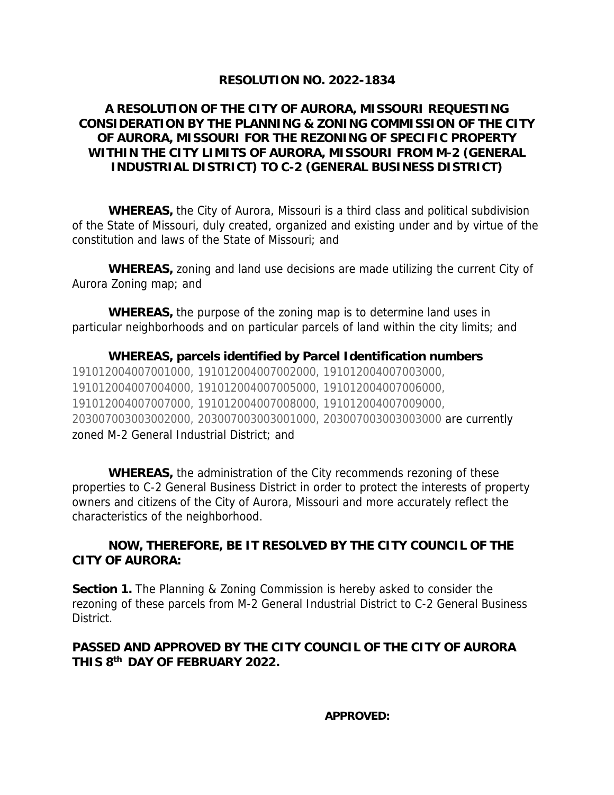## **RESOLUTION NO. 2022-1834**

## **A RESOLUTION OF THE CITY OF AURORA, MISSOURI REQUESTING CONSIDERATION BY THE PLANNING & ZONING COMMISSION OF THE CITY OF AURORA, MISSOURI FOR THE REZONING OF SPECIFIC PROPERTY WITHIN THE CITY LIMITS OF AURORA, MISSOURI FROM M-2 (GENERAL INDUSTRIAL DISTRICT) TO C-2 (GENERAL BUSINESS DISTRICT)**

*WHEREAS,* the City of Aurora, Missouri is a third class and political subdivision of the State of Missouri, duly created, organized and existing under and by virtue of the constitution and laws of the State of Missouri; and

*WHEREAS***,** zoning and land use decisions are made utilizing the current City of Aurora Zoning map; and

*WHEREAS,* the purpose of the zoning map is to determine land uses in particular neighborhoods and on particular parcels of land within the city limits; and

*WHEREAS***, parcels identified by Parcel Identification numbers** 191012004007001000, 191012004007002000, 191012004007003000, 191012004007004000, 191012004007005000, 191012004007006000, 191012004007007000, 191012004007008000, 191012004007009000, 203007003003002000, 203007003003001000, 203007003003003000 are currently zoned M-2 General Industrial District; and

*WHEREAS***,** the administration of the City recommends rezoning of these properties to C-2 General Business District in order to protect the interests of property owners and citizens of the City of Aurora, Missouri and more accurately reflect the characteristics of the neighborhood.

## *NOW, THEREFORE, BE IT RESOLVED BY THE CITY COUNCIL OF THE CITY OF AURORA:*

**Section 1.** The Planning & Zoning Commission is hereby asked to consider the rezoning of these parcels from M-2 General Industrial District to C-2 General Business District.

## *PASSED AND APPROVED BY THE CITY COUNCIL OF THE CITY OF AURORA THIS 8 th DAY OF FEBRUARY 2022.*

**APPROVED:**